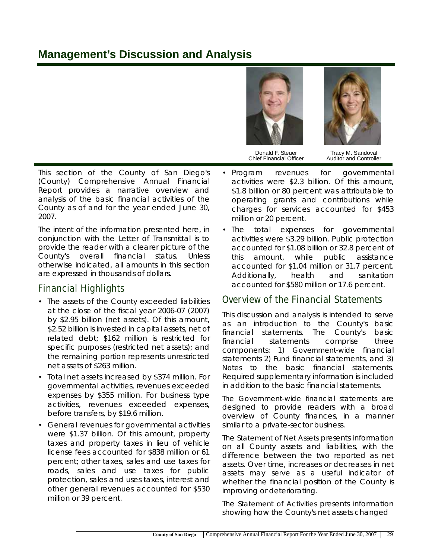# **Management's Discussion and Analysis**





Donald F. Steuer Chief Financial Officer

Tracy M. Sandoval Auditor and Controller

This section of the County of San Diego's (County) Comprehensive Annual Financial Report provides a narrative overview and analysis of the basic financial activities of the County as of and for the year ended June 30, 2007.

The intent of the information presented here, in conjunction with the Letter of Transmittal is to provide the reader with a clearer picture of the County's overall financial status. Unless otherwise indicated, all amounts in this section are expressed in thousands of dollars.

### **Financial Highlights**

- The assets of the County exceeded liabilities at the close of the fiscal year 2006-07 (2007) by \$2.95 billion (net assets). Of this amount, \$2.52 billion is invested in capital assets, net of related debt; \$162 million is restricted for specific purposes (restricted net assets); and the remaining portion represents unrestricted net assets of \$263 million.
- Total net assets increased by \$374 million. For governmental activities, revenues exceeded expenses by \$355 million. For business type activities, revenues exceeded expenses, before transfers, by \$19.6 million.
- General revenues for governmental activities were \$1.37 billion. Of this amount, property taxes and property taxes in lieu of vehicle license fees accounted for \$838 million or 61 percent; other taxes, sales and use taxes for roads, sales and use taxes for public protection, sales and uses taxes, interest and other general revenues accounted for \$530 million or 39 percent.
- Program revenues for governmental activities were \$2.3 billion. Of this amount, \$1.8 billion or 80 percent was attributable to operating grants and contributions while charges for services accounted for \$453 million or 20 percent.
- The total expenses for governmental activities were \$3.29 billion. Public protection accounted for \$1.08 billion or 32.8 percent of this amount, while public assistance accounted for \$1.04 million or 31.7 percent. Additionally, health and sanitation accounted for \$580 million or 17.6 percent.

### **Overview of the Financial Statements**

This discussion and analysis is intended to serve as an introduction to the County's basic financial statements. The County's basic financial statements comprise three components: 1) *Government-wide* financial statements 2) *Fund* financial statements, and 3) *Notes* to the basic financial statements. Required supplementary information is included in addition to the basic financial statements.

*The Government-wide financial statements* are designed to provide readers with a broad overview of County finances, in a manner similar to a private-sector business.

The *Statement of Net Assets* presents information on all County assets and liabilities, with the difference between the two reported as net assets. Over time, increases or decreases in net assets may serve as a useful indicator of whether the financial position of the County is improving or deteriorating.

The *Statement of Activities* presents information showing how the County's net assets changed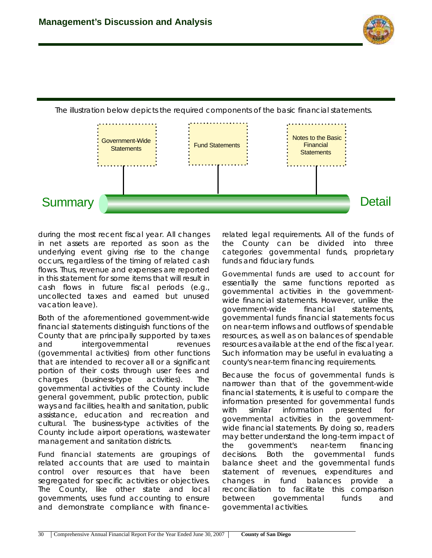



The illustration below depicts the required components of the basic financial statements.

during the most recent fiscal year. All changes in net assets are reported as soon as the underlying event giving rise to the change occurs, regardless of the timing of related cash flows. Thus, revenue and expenses are reported in this statement for some items that will result in cash flows in future fiscal periods (e.g., uncollected taxes and earned but unused vacation leave).

Both of the aforementioned government-wide financial statements distinguish functions of the County that are principally supported by taxes and intergovernmental revenues (governmental activities) from other functions that are intended to recover all or a significant portion of their costs through user fees and charges (business-type activities). The governmental activities of the County include general government, public protection, public ways and facilities, health and sanitation, public assistance, education and recreation and cultural. The business-type activities of the County include airport operations, wastewater management and sanitation districts.

*Fund financial statements* are groupings of related accounts that are used to maintain control over resources that have been segregated for specific activities or objectives. The County, like other state and local governments, uses fund accounting to ensure and demonstrate compliance with financerelated legal requirements. All of the funds of the County can be divided into three categories: governmental funds, proprietary funds and fiduciary funds.

*Governmental funds* are used to account for essentially the same functions reported as governmental activities in the governmentwide financial statements. However, unlike the government-wide financial statements, governmental funds financial statements focus on near-term inflows and outflows of spendable resources, as well as on balances of spendable resources available at the end of the fiscal year. Such information may be useful in evaluating a county's near-term financing requirements.

Because the focus of governmental funds is narrower than that of the government-wide financial statements, it is useful to compare the information presented for governmental funds with similar information presented for governmental activities in the governmentwide financial statements. By doing so, readers may better understand the long-term impact of the government's near-term financing decisions. Both the governmental funds balance sheet and the governmental funds statement of revenues, expenditures and changes in fund balances provide a reconciliation to facilitate this comparison between governmental funds and governmental activities.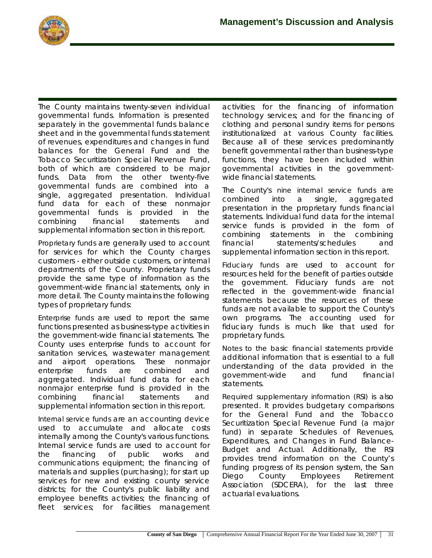The County maintains twenty-seven individual governmental funds. Information is presented separately in the governmental funds balance sheet and in the governmental funds statement of revenues, expenditures and changes in fund balances for the General Fund and the Tobacco Securitization Special Revenue Fund, both of which are considered to be major funds. Data from the other twenty-five governmental funds are combined into a single, aggregated presentation. Individual fund data for each of these nonmajor governmental funds is provided in the combining financial statements and supplemental information section in this report.

*Proprietary funds* are generally used to account for services for which the County charges customers - either outside customers, or internal departments of the County. Proprietary funds provide the same type of information as the government-wide financial statements, only in more detail. The County maintains the following types of proprietary funds:

*Enterprise funds* are used to report the same functions presented as business-type activities in the government-wide financial statements. The County uses enterprise funds to account for sanitation services, wastewater management and airport operations. These nonmajor enterprise funds are combined and aggregated. Individual fund data for each nonmajor enterprise fund is provided in the combining financial statements and supplemental information section in this report.

*Internal service funds* are an accounting device used to accumulate and allocate costs internally among the County's various functions. Internal service funds are used to account for the financing of public works and communications equipment; the financing of materials and supplies (purchasing); for start up services for new and existing county service districts; for the County's public liability and employee benefits activities; the financing of fleet services; for facilities management

activities; for the financing of information technology services; and for the financing of clothing and personal sundry items for persons institutionalized at various County facilities. Because all of these services predominantly benefit governmental rather than business-type functions, they have been included within governmental activities in the governmentwide financial statements.

The County's *nine internal service funds* are combined into a single, aggregated presentation in the proprietary funds financial statements. Individual fund data for the internal service funds is provided in the form of combining statements in the combining financial statements/schedules and supplemental information section in this report.

*Fiduciary funds* are used to account for resources held for the benefit of parties outside the government. Fiduciary funds are not reflected in the government-wide financial statements because the resources of these funds are not available to support the County's own programs. The accounting used for fiduciary funds is much like that used for proprietary funds.

*Notes to the basic financial statements* provide additional information that is essential to a full understanding of the data provided in the government-wide and fund financial statements.

*Required supplementary information (RSI)* is also presented. It provides budgetary comparisons for the General Fund and the Tobacco Securitization Special Revenue Fund (a major fund) in separate Schedules of Revenues, Expenditures, and Changes in Fund Balance-Budget and Actual. Additionally, the *RSI* provides trend information on the County's funding progress of its pension system, the San Diego County Employees Retirement Association (SDCERA), for the last three actuarial evaluations.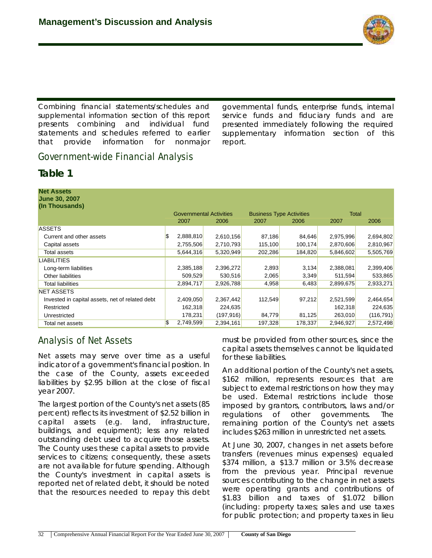

*Combining financial statements/schedules and supplemental information* section of this report presents combining and individual fund statements and schedules referred to earlier that provide information for nonmajor

governmental funds, enterprise funds, internal service funds and fiduciary funds and are presented immediately following the required supplementary information section of this report.

## **Government-wide Financial Analysis**

### **Table 1**

| <b>Net Assets</b><br><b>June 30, 2007</b><br>(In Thousands) |                                |            |                                 |         |              |            |
|-------------------------------------------------------------|--------------------------------|------------|---------------------------------|---------|--------------|------------|
|                                                             | <b>Governmental Activities</b> |            | <b>Business Type Activities</b> |         | <b>Total</b> |            |
|                                                             | 2007                           | 2006       | 2007                            | 2006    | 2007         | 2006       |
| <b>ASSETS</b>                                               |                                |            |                                 |         |              |            |
| Current and other assets                                    | \$<br>2,888,810                | 2,610,156  | 87,186                          | 84,646  | 2,975,996    | 2,694,802  |
| Capital assets                                              | 2,755,506                      | 2,710,793  | 115,100                         | 100,174 | 2,870,606    | 2,810,967  |
| Total assets                                                | 5,644,316                      | 5,320,949  | 202,286                         | 184,820 | 5,846,602    | 5,505,769  |
| <b>LIABILITIES</b>                                          |                                |            |                                 |         |              |            |
| Long-term liabilities                                       | 2,385,188                      | 2,396,272  | 2,893                           | 3,134   | 2,388,081    | 2,399,406  |
| Other liabilities                                           | 509,529                        | 530,516    | 2,065                           | 3,349   | 511,594      | 533,865    |
| Total liabilities                                           | 2,894,717                      | 2,926,788  | 4,958                           | 6,483   | 2,899,675    | 2,933,271  |
| <b>NET ASSETS</b>                                           |                                |            |                                 |         |              |            |
| Invested in capital assets, net of related debt             | 2,409,050                      | 2,367,442  | 112,549                         | 97,212  | 2,521,599    | 2,464,654  |
| Restricted                                                  | 162,318                        | 224,635    |                                 |         | 162,318      | 224,635    |
| Unrestricted                                                | 178,231                        | (197, 916) | 84,779                          | 81,125  | 263,010      | (116, 791) |
| Total net assets                                            | \$<br>2,749,599                | 2,394,161  | 197,328                         | 178,337 | 2,946,927    | 2,572,498  |

# **Analysis of Net Assets**

*Net assets* may serve over time as a useful indicator of a government's financial position. In the case of the County, assets exceeded liabilities by \$2.95 billion at the close of fiscal year 2007.

The largest portion of the County's net assets (85 percent) reflects its investment of \$2.52 billion in capital assets (e.g. land, infrastructure, buildings, and equipment); less any related outstanding debt used to acquire those assets. The County uses these capital assets to provide services to citizens; consequently, these assets are not available for future spending. Although the County's investment in capital assets is reported net of related debt, it should be noted that the resources needed to repay this debt must be provided from other sources, since the capital assets themselves cannot be liquidated for these liabilities.

An additional portion of the County's net assets, \$162 million, represents resources that are subject to external restrictions on how they may be used. External restrictions include those imposed by grantors, contributors, laws and/or regulations of other governments. The remaining portion of the County's net assets includes \$263 million in unrestricted net assets.

At June 30, 2007, changes in net assets before transfers (revenues minus expenses) equaled \$374 million, a \$13.7 million or 3.5% decrease from the previous year. Principal revenue sources contributing to the change in net assets were operating grants and contributions of \$1.83 billion and taxes of \$1.072 billion (including: property taxes; sales and use taxes for public protection; and property taxes in lieu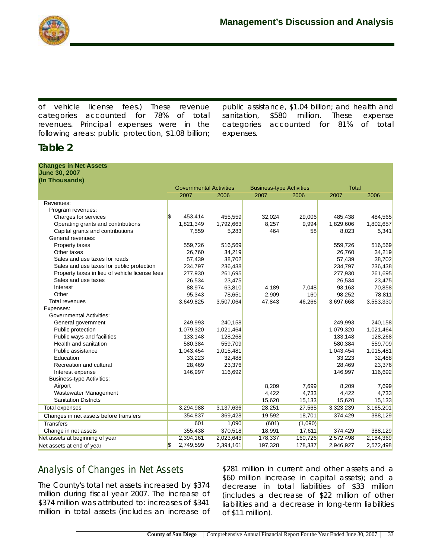

of vehicle license fees.) These revenue categories accounted for 78% of total revenues. Principal expenses were in the following areas: public protection, \$1.08 billion;

public assistance, \$1.04 billion; and health and sanitation, \$580 million. These expense categories accounted for 81% of total expenses.

## **Table 2**

#### **Changes in Net Assets June 30, 2007**

| (In Thousands)                                 |                                |           |                                 |         |              |           |
|------------------------------------------------|--------------------------------|-----------|---------------------------------|---------|--------------|-----------|
|                                                | <b>Governmental Activities</b> |           | <b>Business-type Activities</b> |         | <b>Total</b> |           |
|                                                | 2007                           | 2006      | 2007                            | 2006    | 2007         | 2006      |
| Revenues:                                      |                                |           |                                 |         |              |           |
| Program revenues:                              |                                |           |                                 |         |              |           |
| Charges for services                           | \$<br>453,414                  | 455,559   | 32,024                          | 29,006  | 485,438      | 484,565   |
| Operating grants and contributions             | 1,821,349                      | 1,792,663 | 8,257                           | 9,994   | 1,829,606    | 1,802,657 |
| Capital grants and contributions               | 7,559                          | 5,283     | 464                             | 58      | 8,023        | 5,341     |
| General revenues:                              |                                |           |                                 |         |              |           |
| Property taxes                                 | 559,726                        | 516,569   |                                 |         | 559,726      | 516,569   |
| Other taxes                                    | 26,760                         | 34,219    |                                 |         | 26,760       | 34,219    |
| Sales and use taxes for roads                  | 57,439                         | 38,702    |                                 |         | 57,439       | 38,702    |
| Sales and use taxes for public protection      | 234,797                        | 236,438   |                                 |         | 234,797      | 236,438   |
| Property taxes in lieu of vehicle license fees | 277,930                        | 261,695   |                                 |         | 277,930      | 261,695   |
| Sales and use taxes                            | 26,534                         | 23,475    |                                 |         | 26,534       | 23,475    |
| Interest                                       | 88,974                         | 63,810    | 4,189                           | 7,048   | 93,163       | 70,858    |
| Other                                          | 95,343                         | 78,651    | 2,909                           | 160     | 98,252       | 78,811    |
| <b>Total revenues</b>                          | 3,649,825                      | 3,507,064 | 47,843                          | 46,266  | 3,697,668    | 3,553,330 |
| Expenses:                                      |                                |           |                                 |         |              |           |
| <b>Governmental Activities:</b>                |                                |           |                                 |         |              |           |
| General government                             | 249,993                        | 240,158   |                                 |         | 249,993      | 240,158   |
| Public protection                              | 1,079,320                      | 1,021,464 |                                 |         | 1,079,320    | 1,021,464 |
| Public ways and facilities                     | 133,148                        | 128,268   |                                 |         | 133,148      | 128,268   |
| Health and sanitation                          | 580,384                        | 559,709   |                                 |         | 580,384      | 559,709   |
| Public assistance                              | 1,043,454                      | 1,015,481 |                                 |         | 1,043,454    | 1,015,481 |
| Education                                      | 33,223                         | 32,488    |                                 |         | 33,223       | 32,488    |
| Recreation and cultural                        | 28,469                         | 23,376    |                                 |         | 28,469       | 23,376    |
| Interest expense                               | 146,997                        | 116,692   |                                 |         | 146,997      | 116,692   |
| <b>Business-type Activities:</b>               |                                |           |                                 |         |              |           |
| Airport                                        |                                |           | 8,209                           | 7,699   | 8,209        | 7,699     |
| Wastewater Management                          |                                |           | 4,422                           | 4,733   | 4,422        | 4,733     |
| <b>Sanitation Districts</b>                    |                                |           | 15,620                          | 15,133  | 15,620       | 15,133    |
| Total expenses                                 | 3,294,988                      | 3,137,636 | 28,251                          | 27,565  | 3,323,239    | 3,165,201 |
| Changes in net assets before transfers         | 354,837                        | 369,428   | 19,592                          | 18,701  | 374,429      | 388,129   |
| <b>Transfers</b>                               | 601                            | 1,090     | (601)                           | (1,090) |              |           |
| Change in net assets                           | 355,438                        | 370,518   | 18,991                          | 17,611  | 374,429      | 388,129   |
| Net assets at beginning of year                | 2,394,161                      | 2,023,643 | 178,337                         | 160,726 | 2,572,498    | 2,184,369 |
| Net assets at end of year                      | \$<br>2,749,599                | 2,394,161 | 197,328                         | 178,337 | 2,946,927    | 2,572,498 |

# **Analysis of Changes in Net Assets**

The County's total net assets increased by \$374 million during fiscal year 2007. The increase of \$374 million was attributed to: increases of \$341 million in total assets (includes an increase of \$281 million in current and other assets and a \$60 million increase in capital assets); and a decrease in total liabilities of \$33 million (includes a decrease of \$22 million of other liabilities and a decrease in long-term liabilities of \$11 million).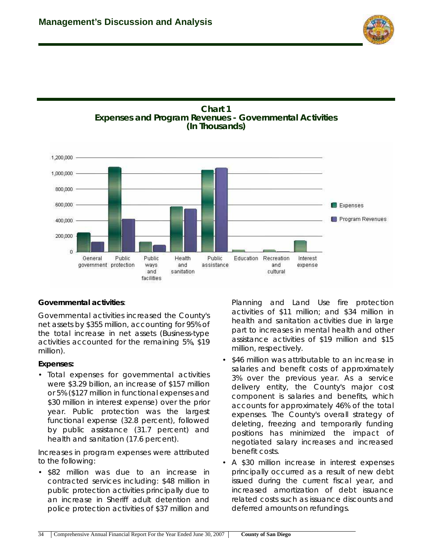





#### **Governmental activities**:

Governmental activities increased the County's net assets by \$355 million, accounting for 95% of the total increase in net assets (Business-type activities accounted for the remaining 5%, \$19 million).

#### **Expenses:**

• Total expenses for governmental activities were \$3.29 billion, an increase of \$157 million or 5% (\$127 million in functional expenses and \$30 million in interest expense) over the prior year. Public protection was the largest functional expense (32.8 percent), followed by public assistance (31.7 percent) and health and sanitation (17.6 percent).

Increases in program expenses were attributed to the following:

• \$82 million was due to an increase in contracted services including: \$48 million in public protection activities principally due to an increase in Sheriff adult detention and police protection activities of \$37 million and

Planning and Land Use fire protection activities of \$11 million; and \$34 million in health and sanitation activities due in large part to increases in mental health and other assistance activities of \$19 million and \$15 million, respectively.

- \$46 million was attributable to an increase in salaries and benefit costs of approximately 3% over the previous year. As a service delivery entity, the County's major cost component is salaries and benefits, which accounts for approximately 46% of the total expenses. The County's overall strategy of deleting, freezing and temporarily funding positions has minimized the impact of negotiated salary increases and increased benefit costs.
- A \$30 million increase in interest expenses principally occurred as a result of new debt issued during the current fiscal year, and increased amortization of debt issuance related costs such as issuance discounts and deferred amounts on refundings.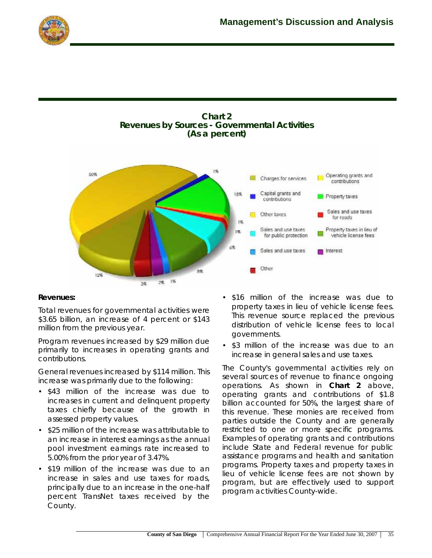



#### **Revenues:**

Total revenues for governmental activities were \$3.65 billion, an increase of 4 percent or \$143 million from the previous year.

Program revenues increased by \$29 million due primarily to increases in operating grants and contributions.

General revenues increased by \$114 million. This increase was primarily due to the following:

- \$43 million of the increase was due to increases in current and delinquent property taxes chiefly because of the growth in assessed property values.
- \$25 million of the increase was attributable to an increase in interest earnings as the annual pool investment earnings rate increased to 5.00% from the prior year of 3.47%.
- \$19 million of the increase was due to an increase in sales and use taxes for roads, principally due to an increase in the one-half percent TransNet taxes received by the County.
- \$16 million of the increase was due to property taxes in lieu of vehicle license fees. This revenue source replaced the previous distribution of vehicle license fees to local governments.
- \$3 million of the increase was due to an increase in general sales and use taxes.

The County's governmental activities rely on several sources of revenue to finance ongoing operations. As shown in **Chart 2** above, operating grants and contributions of \$1.8 billion accounted for 50%, the largest share of this revenue. These monies are received from parties outside the County and are generally restricted to one or more specific programs. Examples of operating grants and contributions include State and Federal revenue for public assistance programs and health and sanitation programs. Property taxes and property taxes in lieu of vehicle license fees are not shown by program, but are effectively used to support program activities County-wide.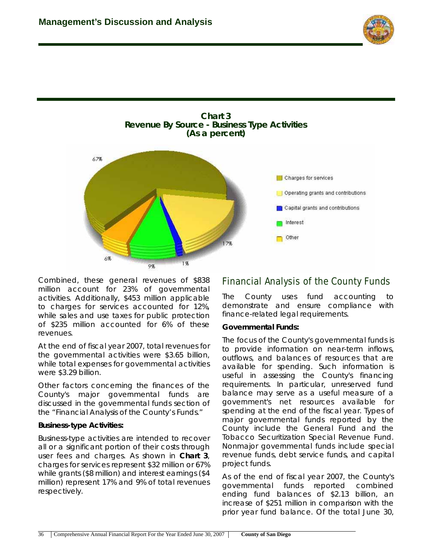





Combined, these general revenues of \$838 million account for 23% of governmental activities. Additionally, \$453 million applicable to charges for services accounted for 12%, while sales and use taxes for public protection of \$235 million accounted for 6% of these revenues.

At the end of fiscal year 2007, total revenues for the governmental activities were \$3.65 billion, while total expenses for governmental activities were \$3.29 billion.

Other factors concerning the finances of the County's major governmental funds are discussed in the governmental funds section of the "Financial Analysis of the County's Funds."

#### **Business-type Activities:**

Business-type activities are intended to recover all or a significant portion of their costs through user fees and charges. As shown in **Chart 3**, charges for services represent \$32 million or 67% while grants (\$8 million) and interest earnings (\$4 million) represent 17% and 9% of total revenues respectively.

### **Financial Analysis of the County Funds**

The County uses fund accounting to demonstrate and ensure compliance with finance-related legal requirements.

#### **Governmental Funds:**

The focus of the County's governmental funds is to provide information on near-term inflows, outflows, and balances of resources that are available for spending. Such information is useful in assessing the County's financing requirements. In particular, unreserved fund balance may serve as a useful measure of a government's net resources available for spending at the end of the fiscal year. Types of major governmental funds reported by the County include the General Fund and the Tobacco Securitization Special Revenue Fund. Nonmajor governmental funds include special revenue funds, debt service funds, and capital project funds.

As of the end of fiscal year 2007, the County's governmental funds reported combined ending fund balances of \$2.13 billion, an increase of \$251 million in comparison with the prior year fund balance. Of the total June 30,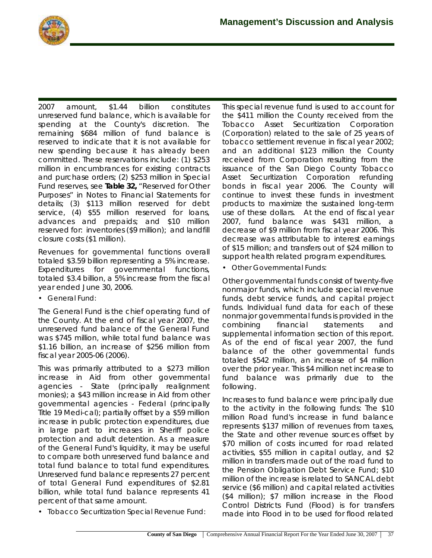

2007 amount, \$1.44 billion constitutes unreserved fund balance, which is available for spending at the County's discretion. The remaining \$684 million of fund balance is reserved to indicate that it is not available for new spending because it has already been committed. These reservations include: (1) \$253 million in encumbrances for existing contracts and purchase orders; (2) \$253 million in Special Fund reserves, see **Table 32,** "Reserved for Other Purposes" in Notes to Financial Statements for details; (3) \$113 million reserved for debt service, (4) \$55 million reserved for loans, advances and prepaids; and \$10 million reserved for: inventories (\$9 million); and landfill closure costs (\$1 million).

Revenues for governmental functions overall totaled \$3.59 billion representing a 5% increase. Expenditures for governmental functions, totaled \$3.4 billion, a 5% increase from the fiscal year ended June 30, 2006.

• *General Fund:*

The General Fund is the chief operating fund of the County. At the end of fiscal year 2007, the unreserved fund balance of the General Fund was \$745 million, while total fund balance was \$1.16 billion, an increase of \$256 million from fiscal year 2005-06 (2006).

This was primarily attributed to a \$273 million increase in Aid from other governmental agencies - State (principally realignment monies); a \$43 million increase in Aid from other governmental agencies - Federal (principally Title 19 Medi-cal); partially offset by a \$59 million increase in public protection expenditures, due in large part to increases in Sheriff police protection and adult detention. As a measure of the General Fund's liquidity, it may be useful to compare both unreserved fund balance and total fund balance to total fund expenditures. Unreserved fund balance represents 27 percent of total General Fund expenditures of \$2.81 billion, while total fund balance represents 41 percent of that same amount.

• *Tobacco Securitization Special Revenue Fund:*

This special revenue fund is used to account for the \$411 million the County received from the Tobacco Asset Securitization Corporation (Corporation) related to the sale of 25 years of tobacco settlement revenue in fiscal year 2002; and an additional \$123 million the County received from Corporation resulting from the issuance of the San Diego County Tobacco Asset Securitization Corporation refunding bonds in fiscal year 2006. The County will continue to invest these funds in investment products to maximize the sustained long-term use of these dollars. At the end of fiscal year 2007, fund balance was \$431 million, a decrease of \$9 million from fiscal year 2006. This decrease was attributable to interest earnings of \$15 million; and transfers out of \$24 million to support health related program expenditures.

• *Other Governmental Funds*:

Other governmental funds consist of twenty-five nonmajor funds, which include special revenue funds, debt service funds, and capital project funds. Individual fund data for each of these nonmajor governmental funds is provided in the combining financial statements and supplemental information section of this report. As of the end of fiscal year 2007, the fund balance of the other governmental funds totaled \$542 million, an increase of \$4 million over the prior year. This \$4 million net increase to fund balance was primarily due to the following.

Increases to fund balance were principally due to the activity in the following funds: The \$10 million Road fund's increase in fund balance represents \$137 million of revenues from taxes, the State and other revenue sources offset by \$70 million of costs incurred for road related activities, \$55 million in capital outlay, and \$2 million in transfers made out of the road fund to the Pension Obligation Debt Service Fund; \$10 million of the increase is related to SANCAL debt service (\$6 million) and capital related activities (\$4 million); \$7 million increase in the Flood Control Districts Fund (Flood) is for transfers made into Flood in to be used for flood related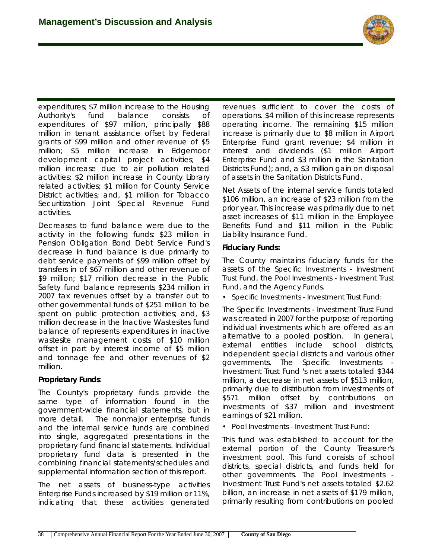

expenditures; \$7 million increase to the Housing Authority's fund balance consists of expenditures of \$97 million, principally \$88 million in tenant assistance offset by Federal grants of \$99 million and other revenue of \$5 million; \$5 million increase in Edgemoor development capital project activities; \$4 million increase due to air pollution related activities; \$2 million increase in County Library related activities; \$1 million for County Service District activities; and, \$1 million for Tobacco Securitization Joint Special Revenue Fund activities.

Decreases to fund balance were due to the activity in the following funds: \$23 million in Pension Obligation Bond Debt Service Fund's decrease in fund balance is due primarily to debt service payments of \$99 million offset by transfers in of \$67 million and other revenue of \$9 million; \$17 million decrease in the Public Safety fund balance represents \$234 million in 2007 tax revenues offset by a transfer out to other governmental funds of \$251 million to be spent on public protection activities; and, \$3 million decrease in the Inactive Wastesites fund balance of represents expenditures in inactive wastesite management costs of \$10 million offset in part by interest income of \$5 million and tonnage fee and other revenues of \$2 million.

#### **Proprietary Funds**:

The County's proprietary funds provide the same type of information found in the government-wide financial statements, but in more detail. The nonmajor enterprise funds and the internal service funds are combined into single, aggregated presentations in the proprietary fund financial statements. Individual proprietary fund data is presented in the combining financial statements/schedules and supplemental information section of this report.

The net assets of business-type activities Enterprise Funds increased by \$19 million or 11%, indicating that these activities generated revenues sufficient to cover the costs of operations. \$4 million of this increase represents operating income. The remaining \$15 million increase is primarily due to \$8 million in Airport Enterprise Fund grant revenue; \$4 million in interest and dividends (\$1 million Airport Enterprise Fund and \$3 million in the Sanitation Districts Fund); and, a \$3 million gain on disposal of assets in the Sanitation Districts Fund.

Net Assets of the internal service funds totaled \$106 million, an increase of \$23 million from the prior year. This increase was primarily due to net asset increases of \$11 million in the Employee Benefits Fund and \$11 million in the Public Liability Insurance Fund.

#### **Fiduciary Funds:**

The County maintains fiduciary funds for the assets of the *Specific Investments - Investment Trust Fund*, the *Pool Investments - Investment Trust Fund*, and the *Agency Funds*.

*• Specific Investments - Investment Trust Fund:* 

The Specific Investments - Investment Trust Fund was created in 2007 for the purpose of reporting individual investments which are offered as an alternative to a pooled position. In general, external entities include school districts, independent special districts and various other governments. The Specific Investments - Investment Trust Fund 's net assets totaled \$344 million, a decrease in net assets of \$513 million, primarily due to distribution from investments of \$571 million offset by contributions on investments of \$37 million and investment earnings of \$21 million.

• *Pool Investments - Investment Trust Fund:*

This fund was established to account for the external portion of the County Treasurer's investment pool. This fund consists of school districts, special districts, and funds held for other governments. The Pool Investments - Investment Trust Fund's net assets totaled \$2.62 billion, an increase in net assets of \$179 million, primarily resulting from contributions on pooled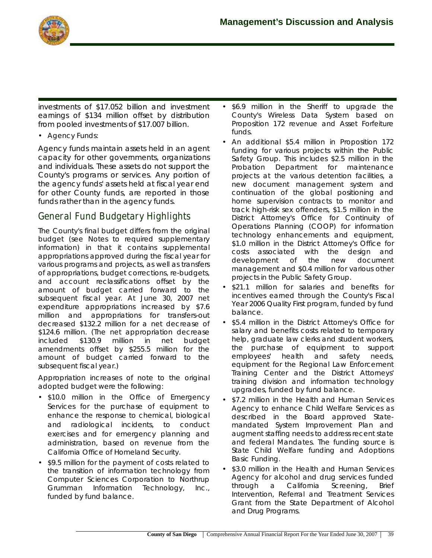

investments of \$17.052 billion and investment earnings of \$134 million offset by distribution from pooled investments of \$17.007 billion.

#### • *Agency Funds:*

Agency funds maintain assets held in an agent capacity for other governments, organizations and individuals. These assets do not support the County's programs or services. Any portion of the agency funds' assets held at fiscal year end for other County funds, are reported in those funds rather than in the agency funds.

### **General Fund Budgetary Highlights**

The County's final budget differs from the original budget (see Notes to required supplementary information) in that it contains supplemental appropriations approved during the fiscal year for various programs and projects, as well as transfers of appropriations, budget corrections, re-budgets, and account reclassifications offset by the amount of budget carried forward to the subsequent fiscal year. At June 30, 2007 net expenditure appropriations increased by \$7.6 million and appropriations for transfers-out decreased \$132.2 million for a net decrease of \$124.6 million. (The net appropriation decrease included \$130.9 million in net budget amendments offset by \$255.5 million for the amount of budget carried forward to the subsequent fiscal year.)

Appropriation increases of note to the original adopted budget were the following:

- \$10.0 million in the Office of Emergency Services for the purchase of equipment to enhance the response to chemical, biological and radiological incidents, to conduct exercises and for emergency planning and administration, based on revenue from the California Office of Homeland Security.
- \$9.5 million for the payment of costs related to the transition of information technology from Computer Sciences Corporation to Northrup Grumman Information Technology, Inc., funded by fund balance.
- \$6.9 million in the Sheriff to upgrade the County's Wireless Data System based on Proposition 172 revenue and Asset Forfeiture funds.
- An additional \$5.4 million in Proposition 172 funding for various projects within the Public Safety Group. This includes \$2.5 million in the Probation Department for maintenance projects at the various detention facilities, a new document management system and continuation of the global positioning and home supervision contracts to monitor and track high-risk sex offenders, \$1.5 million in the District Attorney's Office for Continuity of Operations Planning (COOP) for information technology enhancements and equipment, \$1.0 million in the District Attorney's Office for costs associated with the design and development of the new document management and \$0.4 million for various other projects in the Public Safety Group.
- \$21.1 million for salaries and benefits for incentives earned through the County's Fiscal Year 2006 Quality First program, funded by fund balance.
- \$5.4 million in the District Attorney's Office for salary and benefits costs related to temporary help, graduate law clerks and student workers, the purchase of equipment to support employees' health and safety needs, equipment for the Regional Law Enforcement Training Center and the District Attorneys' training division and information technology upgrades, funded by fund balance.
- \$7.2 million in the Health and Human Services Agency to enhance Child Welfare Services as described in the Board approved Statemandated System Improvement Plan and augment staffing needs to address recent state and federal Mandates. The funding source is State Child Welfare funding and Adoptions Basic Funding.
- \$3.0 million in the Health and Human Services Agency for alcohol and drug services funded through a California Screening, Brief Intervention, Referral and Treatment Services Grant from the State Department of Alcohol and Drug Programs.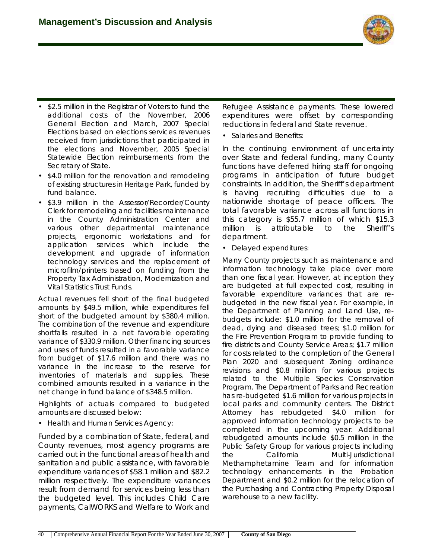

- \$2.5 million in the Registrar of Voters to fund the additional costs of the November, 2006 General Election and March, 2007 Special Elections based on elections services revenues received from jurisdictions that participated in the elections and November, 2005 Special Statewide Election reimbursements from the Secretary of State.
- \$4.0 million for the renovation and remodeling of existing structures in Heritage Park, funded by fund balance.
- \$3.9 million in the Assessor/Recorder/County Clerk for remodeling and facilities maintenance in the County Administration Center and various other departmental maintenance projects, ergonomic workstations and for application services which include the development and upgrade of information technology services and the replacement of microfilm/printers based on funding from the Property Tax Administration, Modernization and Vital Statistics Trust Funds.

Actual revenues fell short of the final budgeted amounts by \$49.5 million, while expenditures fell short of the budgeted amount by \$380.4 million. The combination of the revenue and expenditure shortfalls resulted in a net favorable operating variance of \$330.9 million. Other financing sources and uses of funds resulted in a favorable variance from budget of \$17.6 million and there was no variance in the increase to the reserve for inventories of materials and supplies. These combined amounts resulted in a variance in the net change in fund balance of \$348.5 million.

Highlights of actuals compared to budgeted amounts are discussed below:

• *Health and Human Services Agency:*

Funded by a combination of State, federal, and County revenues, most agency programs are carried out in the functional areas of health and sanitation and public assistance, with favorable expenditure variances of \$58.1 million and \$82.2 million respectively. The expenditure variances result from demand for services being less than the budgeted level. This includes Child Care payments, CalWORKS and Welfare to Work and

Refugee Assistance payments. These lowered expenditures were offset by corresponding reductions in federal and State revenue.

• *Salaries and Benefits:*

In the continuing environment of uncertainty over State and federal funding, many County functions have deferred hiring staff for ongoing programs in anticipation of future budget constraints. In addition, the Sheriff's department is having recruiting difficulties due to a nationwide shortage of peace officers. The total favorable variance across all functions in this category is \$55.7 million of which \$15.3 million is attributable to the Sheriff's department.

• *Delayed expenditures:*

Many County projects such as maintenance and information technology take place over more than one fiscal year. However, at inception they are budgeted at full expected cost, resulting in favorable expenditure variances that are rebudgeted in the new fiscal year. For example, in the Department of Planning and Land Use, rebudgets include: \$1.0 million for the removal of dead, dying and diseased trees; \$1.0 million for the Fire Prevention Program to provide funding to fire districts and County Service Areas; \$1.7 million for costs related to the completion of the General Plan 2020 and subsequent Zoning ordinance revisions and \$0.8 million for various projects related to the Multiple Species Conservation Program. The Department of Parks and Recreation has re-budgeted \$1.6 million for various projects in local parks and community centers. The District Attorney has rebudgeted \$4.0 million for approved information technology projects to be completed in the upcoming year. Additional rebudgeted amounts include \$0.5 million in the Public Safety Group for various projects including the California Multi-Jurisdictional Methamphetamine Team and for information technology enhancements in the Probation Department and \$0.2 million for the relocation of the Purchasing and Contracting Property Disposal warehouse to a new facility.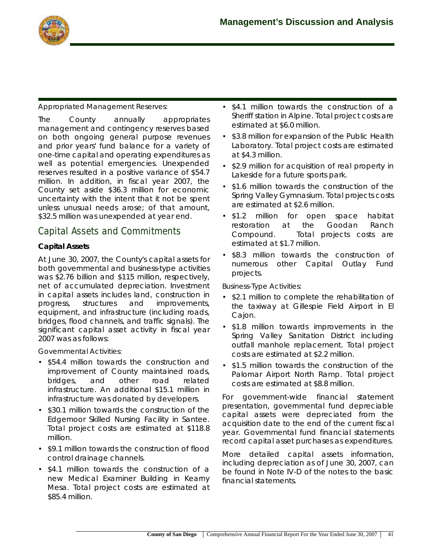

#### *Appropriated Management Reserves:*

The County annually appropriates management and contingency reserves based on both ongoing general purpose revenues and prior years' fund balance for a variety of one-time capital and operating expenditures as well as potential emergencies. Unexpended reserves resulted in a positive variance of \$54.7 million. In addition, in fiscal year 2007, the County set aside \$36.3 million for economic uncertainty with the intent that it not be spent unless unusual needs arose; of that amount, \$32.5 million was unexpended at year end.

### **Capital Assets and Commitments**

#### **Capital Assets**

At June 30, 2007, the County's capital assets for both governmental and business-type activities was \$2.76 billion and \$115 million, respectively, net of accumulated depreciation. Investment in capital assets includes land, construction in progress, structures and improvements, equipment, and infrastructure (including roads, bridges, flood channels, and traffic signals). The significant capital asset activity in fiscal year 2007 was as follows:

#### *Governmental Activities:*

- \$54.4 million towards the construction and improvement of County maintained roads, bridges, and other road related infrastructure. An additional \$15.1 million in infrastructure was donated by developers.
- \$30.1 million towards the construction of the Edgemoor Skilled Nursing Facility in Santee. Total project costs are estimated at \$118.8 million.
- \$9.1 million towards the construction of flood control drainage channels.
- \$4.1 million towards the construction of a new Medical Examiner Building in Kearny Mesa. Total project costs are estimated at \$85.4 million.
- \$4.1 million towards the construction of a Sheriff station in Alpine. Total project costs are estimated at \$6.0 million.
- \$3.8 million for expansion of the Public Health Laboratory. Total project costs are estimated at \$4.3 million.
- \$2.9 million for acquisition of real property in Lakeside for a future sports park.
- \$1.6 million towards the construction of the Spring Valley Gymnasium. Total projects costs are estimated at \$2.6 million.
- \$1.2 million for open space habitat restoration at the Goodan Ranch Compound. Total projects costs are estimated at \$1.7 million.
- \$8.3 million towards the construction of numerous other Capital Outlay Fund projects.

#### *Business-Type Activities:*

- \$2.1 million to complete the rehabilitation of the taxiway at Gillespie Field Airport in El Cajon.
- \$1.8 million towards improvements in the Spring Valley Sanitation District including outfall manhole replacement. Total project costs are estimated at \$2.2 million.
- \$1.5 million towards the construction of the Palomar Airport North Ramp. Total project costs are estimated at \$8.8 million.

For government-wide financial statement presentation, governmental fund depreciable capital assets were depreciated from the acquisition date to the end of the current fiscal year. Governmental fund financial statements record capital asset purchases as expenditures.

More detailed capital assets information, including depreciation as of June 30, 2007, can be found in Note IV-D of the notes to the basic financial statements.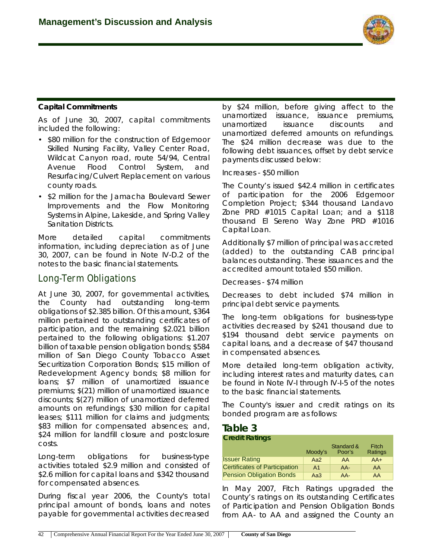

#### **Capital Commitments**

As of June 30, 2007, capital commitments included the following:

- \$80 million for the construction of Edgemoor Skilled Nursing Facility, Valley Center Road, Wildcat Canyon road, route 54/94, Central Avenue Flood Control System, and Resurfacing/Culvert Replacement on various county roads.
- \$2 million for the Jamacha Boulevard Sewer Improvements and the Flow Monitoring Systems in Alpine, Lakeside, and Spring Valley Sanitation Districts.

More detailed capital commitments information, including depreciation as of June 30, 2007, can be found in Note IV-D.2 of the notes to the basic financial statements.

### **Long-Term Obligations**

At June 30, 2007, for governmental activities, the County had outstanding long-term obligations of \$2.385 billion. Of this amount, \$364 million pertained to outstanding certificates of participation, and the remaining \$2.021 billion pertained to the following obligations: \$1.207 billion of taxable pension obligation bonds; \$584 million of San Diego County Tobacco Asset Securitization Corporation Bonds; \$15 million of Redevelopment Agency bonds; \$8 million for loans; \$7 million of unamortized issuance premiums; \$(21) million of unamortized issuance discounts; \$(27) million of unamortized deferred amounts on refundings; \$30 million for capital leases; \$111 million for claims and judgments; \$83 million for compensated absences; and, \$24 million for landfill closure and postclosure costs.

Long-term obligations for business-type activities totaled \$2.9 million and consisted of \$2.6 million for capital loans and \$342 thousand for compensated absences.

During fiscal year 2006, the County's total principal amount of bonds, loans and notes payable for governmental activities decreased

by \$24 million, before giving affect to the unamortized issuance, issuance premiums, unamortized issuance discounts and unamortized deferred amounts on refundings. The \$24 million decrease was due to the following debt issuances, offset by debt service payments discussed below:

Increases - \$50 million

The County's issued \$42.4 million in certificates of participation for the 2006 Edgemoor Completion Project; \$344 thousand Landavo Zone PRD #1015 Capital Loan; and a \$118 thousand El Sereno Way Zone PRD #1016 Capital Loan.

Additionally \$7 million of principal was accreted (added) to the outstanding CAB principal balances outstanding. These issuances and the accredited amount totaled \$50 million.

Decreases - \$74 million

Decreases to debt included \$74 million in principal debt service payments.

The long-term obligations for business-type activities decreased by \$241 thousand due to \$194 thousand debt service payments on capital loans, and a decrease of \$47 thousand in compensated absences.

More detailed long-term obligation activity, including interest rates and maturity dates, can be found in Note IV-I through IV-I-5 of the notes to the basic financial statements.

The County's issuer and credit ratings on its bonded program are as follows:

### **Table 3**

#### **Credit Ratings**

|                                      | Moody's        | Standard &<br>Poor's | Fitch<br>Ratings |
|--------------------------------------|----------------|----------------------|------------------|
| <b>Issuer Rating</b>                 | Aa2            | AA                   | $AA+$            |
| <b>Certificates of Participation</b> | A <sub>1</sub> | $AA-$                | AA               |
| <b>Pension Obligation Bonds</b>      | Aa3            | $AA-$                | AA               |

In May 2007, Fitch Ratings upgraded the County's ratings on its outstanding Certificates of Participation and Pension Obligation Bonds from AA- to AA and assigned the County an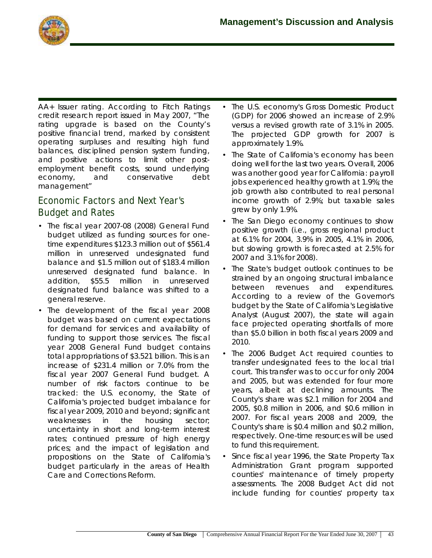

AA+ Issuer rating. According to Fitch Ratings credit research report issued in May 2007, "The rating upgrade is based on the County's positive financial trend, marked by consistent operating surpluses and resulting high fund balances, disciplined pension system funding, and positive actions to limit other postemployment benefit costs, sound underlying economy, and conservative debt management"

# **Economic Factors and Next Year's Budget and Rates**

- The fiscal year 2007-08 (2008) General Fund budget utilized as funding sources for onetime expenditures \$123.3 million out of \$561.4 million in unreserved undesignated fund balance and \$1.5 million out of \$183.4 million unreserved designated fund balance. In addition, \$55.5 million in unreserved designated fund balance was shifted to a general reserve.
- The development of the fiscal year 2008 budget was based on current expectations for demand for services and availability of funding to support those services. The fiscal year 2008 General Fund budget contains total appropriations of \$3.521 billion. This is an increase of \$231.4 million or 7.0% from the fiscal year 2007 General Fund budget. A number of risk factors continue to be tracked: the U.S. economy, the State of California's projected budget imbalance for fiscal year 2009, 2010 and beyond; significant weaknesses in the housing sector; uncertainty in short and long-term interest rates; continued pressure of high energy prices; and the impact of legislation and propositions on the State of California's budget particularly in the areas of Health Care and Corrections Reform.
- The U.S. economy's Gross Domestic Product (GDP) for 2006 showed an increase of 2.9% versus a revised growth rate of 3.1% in 2005. The projected GDP growth for 2007 is approximately 1.9%.
- The State of California's economy has been doing well for the last two years. Overall, 2006 was another good year for California: payroll jobs experienced healthy growth at 1.9%; the job growth also contributed to real personal income growth of 2.9%; but taxable sales grew by only 1.9%.
- The San Diego economy continues to show positive growth (i.e., gross regional product at 6.1% for 2004, 3.9% in 2005, 4.1% in 2006, but slowing growth is forecasted at 2.5% for 2007 and 3.1% for 2008).
- The State's budget outlook continues to be strained by an ongoing structural imbalance between revenues and expenditures. According to a review of the Governor's budget by the State of California's Legislative Analyst (August 2007), the state will again face projected operating shortfalls of more than \$5.0 billion in both fiscal years 2009 and 2010.
- The 2006 Budget Act required counties to transfer undesignated fees to the local trial court. This transfer was to occur for only 2004 and 2005, but was extended for four more years, albeit at declining amounts. The County's share was \$2.1 million for 2004 and 2005, \$0.8 million in 2006, and \$0.6 million in 2007. For fiscal years 2008 and 2009, the County's share is \$0.4 million and \$0.2 million, respectively. One-time resources will be used to fund this requirement.
- Since fiscal year 1996, the State Property Tax Administration Grant program supported counties' maintenance of timely property assessments. The 2008 Budget Act did not include funding for counties' property tax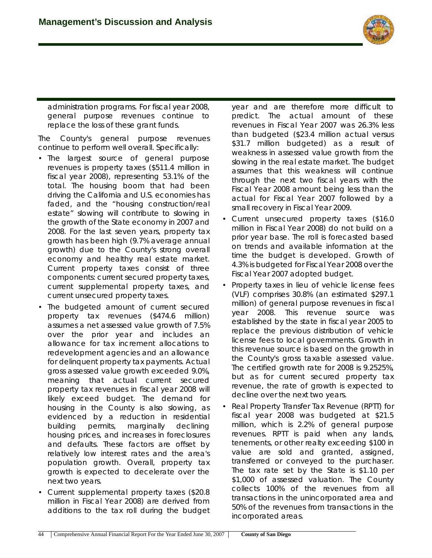

administration programs. For fiscal year 2008, general purpose revenues continue to replace the loss of these grant funds.

The County's general purpose revenues continue to perform well overall. Specifically:

- The largest source of general purpose revenues is property taxes (\$511.4 million in fiscal year 2008), representing 53.1% of the total. The housing boom that had been driving the California and U.S. economies has faded, and the "housing construction/real estate" slowing will contribute to slowing in the growth of the State economy in 2007 and 2008. For the last seven years, property tax growth has been high (9.7% average annual growth) due to the County's strong overall economy and healthy real estate market. Current property taxes consist of three components: current secured property taxes, current supplemental property taxes, and current unsecured property taxes.
- The budgeted amount of current secured property tax revenues (\$474.6 million) assumes a net assessed value growth of 7.5% over the prior year and includes an allowance for tax increment allocations to redevelopment agencies and an allowance for delinquent property tax payments. Actual gross assessed value growth exceeded 9.0%, meaning that actual current secured property tax revenues in fiscal year 2008 will likely exceed budget. The demand for housing in the County is also slowing, as evidenced by a reduction in residential building permits, marginally declining housing prices, and increases in foreclosures and defaults. These factors are offset by relatively low interest rates and the area's population growth. Overall, property tax growth is expected to decelerate over the next two years.
- Current supplemental property taxes (\$20.8 million in Fiscal Year 2008) are derived from additions to the tax roll during the budget

year and are therefore more difficult to predict. The actual amount of these revenues in Fiscal Year 2007 was 26.3% less than budgeted (\$23.4 million actual versus \$31.7 million budgeted) as a result of weakness in assessed value growth from the slowing in the real estate market. The budget assumes that this weakness will continue through the next two fiscal years with the Fiscal Year 2008 amount being less than the actual for Fiscal Year 2007 followed by a small recovery in Fiscal Year 2009.

- Current unsecured property taxes (\$16.0 million in Fiscal Year 2008) do not build on a prior year base. The roll is forecasted based on trends and available information at the time the budget is developed. Growth of 4.3% is budgeted for Fiscal Year 2008 over the Fiscal Year 2007 adopted budget.
- Property taxes in lieu of vehicle license fees (VLF) comprises 30.8% (an estimated \$297.1 million) of general purpose revenues in fiscal year 2008. This revenue source was established by the state in fiscal year 2005 to replace the previous distribution of vehicle license fees to local governments. Growth in this revenue source is based on the growth in the County's gross taxable assessed value. The certified growth rate for 2008 is 9.2525%, but as for current secured property tax revenue, the rate of growth is expected to decline over the next two years.
- Real Property Transfer Tax Revenue (RPTT) for fiscal year 2008 was budgeted at \$21.5 million, which is 2.2% of general purpose revenues. RPTT is paid when any lands, tenements, or other realty exceeding \$100 in value are sold and granted, assigned, transferred or conveyed to the purchaser. The tax rate set by the State is \$1.10 per \$1,000 of assessed valuation. The County collects 100% of the revenues from all transactions in the unincorporated area and 50% of the revenues from transactions in the incorporated areas.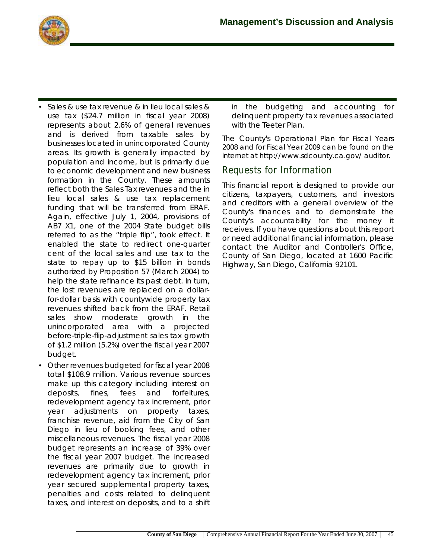

- Sales & use tax revenue & in lieu local sales & use tax (\$24.7 million in fiscal year 2008) represents about 2.6% of general revenues and is derived from taxable sales by businesses located in unincorporated County areas. Its growth is generally impacted by population and income, but is primarily due to economic development and new business formation in the County. These amounts reflect both the Sales Tax revenues and the in lieu local sales & use tax replacement funding that will be transferred from ERAF. Again, effective July 1, 2004, provisions of AB7 X1, one of the 2004 State budget bills referred to as the "triple flip", took effect. It enabled the state to redirect one-quarter cent of the local sales and use tax to the state to repay up to \$15 billion in bonds authorized by Proposition 57 (March 2004) to help the state refinance its past debt. In turn, the lost revenues are replaced on a dollarfor-dollar basis with countywide property tax revenues shifted back from the ERAF. Retail sales show moderate growth in the unincorporated area with a projected before-triple-flip-adjustment sales tax growth of \$1.2 million (5.2%) over the fiscal year 2007 budget.
- Other revenues budgeted for fiscal year 2008 total \$108.9 million. Various revenue sources make up this category including interest on deposits, fines, fees and forfeitures, redevelopment agency tax increment, prior year adjustments on property taxes, franchise revenue, aid from the City of San Diego in lieu of booking fees, and other miscellaneous revenues. The fiscal year 2008 budget represents an increase of 39% over the fiscal year 2007 budget. The increased revenues are primarily due to growth in redevelopment agency tax increment, prior year secured supplemental property taxes, penalties and costs related to delinquent taxes, and interest on deposits, and to a shift

in the budgeting and accounting for delinquent property tax revenues associated with the Teeter Plan.

The County's *Operational Plan for Fiscal Years 2008 and for Fiscal Year 2009 can be found on the internet at http://www.sdcounty.ca.gov/ auditor.*

### **Requests for Information**

This financial report is designed to provide our citizens, taxpayers, customers, and investors and creditors with a general overview of the County's finances and to demonstrate the County's *accountability* for the money it receives. If you have questions about this report or need additional financial information, please contact the Auditor and Controller's Office, County of San Diego, located at 1600 Pacific Highway, San Diego, California 92101.